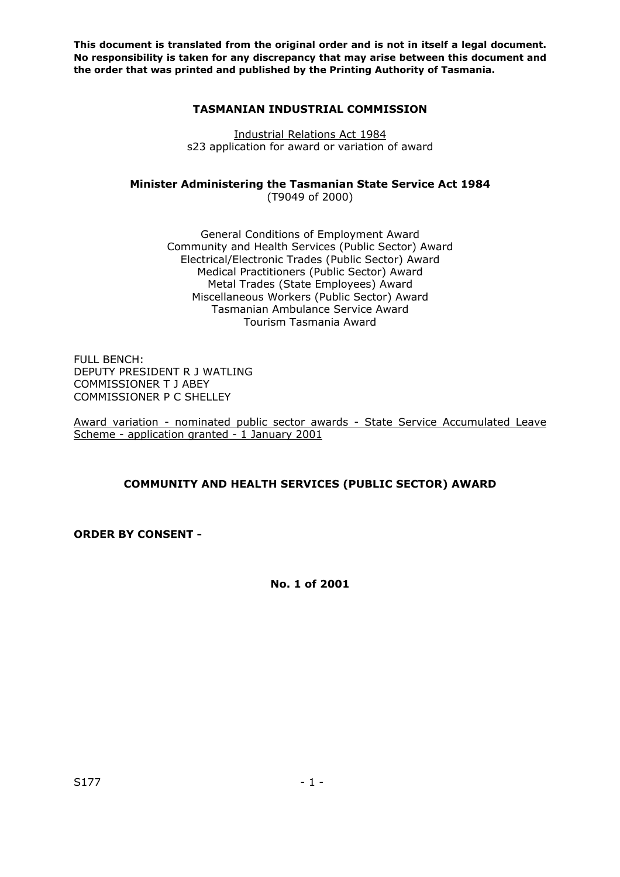### **TASMANIAN INDUSTRIAL COMMISSION**

Industrial Relations Act 1984 s23 application for award or variation of award

# **Minister Administering the Tasmanian State Service Act 1984**

(T9049 of 2000)

General Conditions of Employment Award Community and Health Services (Public Sector) Award Electrical/Electronic Trades (Public Sector) Award Medical Practitioners (Public Sector) Award Metal Trades (State Employees) Award Miscellaneous Workers (Public Sector) Award Tasmanian Ambulance Service Award Tourism Tasmania Award

FULL BENCH: DEPUTY PRESIDENT R J WATLING COMMISSIONER T J ABEY COMMISSIONER P C SHELLEY

Award variation - nominated public sector awards - State Service Accumulated Leave Scheme - application granted - 1 January 2001

# **COMMUNITY AND HEALTH SERVICES (PUBLIC SECTOR) AWARD**

**ORDER BY CONSENT -** 

**No. 1 of 2001**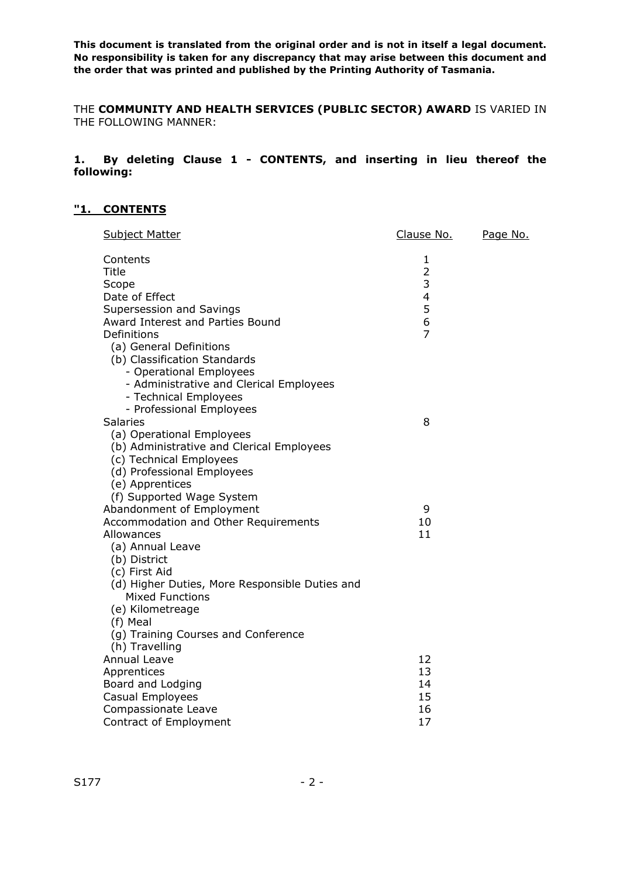THE **COMMUNITY AND HEALTH SERVICES (PUBLIC SECTOR) AWARD** IS VARIED IN THE FOLLOWING MANNER:

### **1. By deleting Clause 1 - CONTENTS, and inserting in lieu thereof the following:**

# **"1. CONTENTS**

| <b>Subject Matter</b>                          | Clause No.     | Page No. |
|------------------------------------------------|----------------|----------|
| Contents                                       | 1              |          |
| Title                                          | $\overline{2}$ |          |
| Scope                                          | 3              |          |
| Date of Effect                                 | $\overline{4}$ |          |
| Supersession and Savings                       | 5              |          |
| Award Interest and Parties Bound               | 6              |          |
| Definitions                                    | $\overline{7}$ |          |
| (a) General Definitions                        |                |          |
| (b) Classification Standards                   |                |          |
| - Operational Employees                        |                |          |
| - Administrative and Clerical Employees        |                |          |
| - Technical Employees                          |                |          |
| - Professional Employees<br><b>Salaries</b>    | 8              |          |
| (a) Operational Employees                      |                |          |
| (b) Administrative and Clerical Employees      |                |          |
| (c) Technical Employees                        |                |          |
| (d) Professional Employees                     |                |          |
| (e) Apprentices                                |                |          |
| (f) Supported Wage System                      |                |          |
| Abandonment of Employment                      | 9              |          |
| Accommodation and Other Requirements           | 10             |          |
| Allowances                                     | 11             |          |
| (a) Annual Leave                               |                |          |
| (b) District                                   |                |          |
| (c) First Aid                                  |                |          |
| (d) Higher Duties, More Responsible Duties and |                |          |
| <b>Mixed Functions</b>                         |                |          |
| (e) Kilometreage                               |                |          |
| (f) Meal                                       |                |          |
| (g) Training Courses and Conference            |                |          |
| (h) Travelling                                 |                |          |
| <b>Annual Leave</b>                            | 12             |          |
| Apprentices                                    | 13             |          |
| Board and Lodging                              | 14             |          |
| Casual Employees                               | 15             |          |
| Compassionate Leave                            | 16             |          |
| Contract of Employment                         | 17             |          |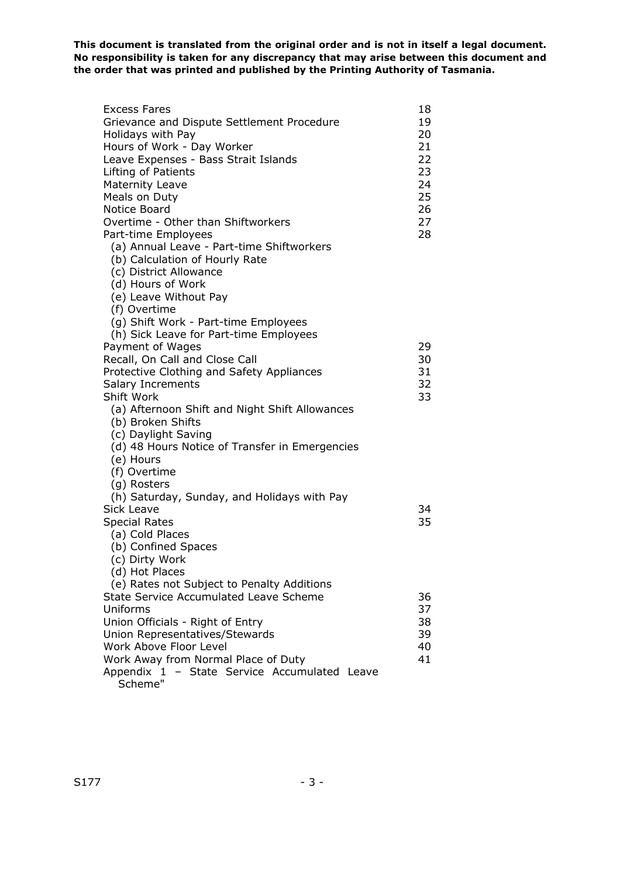| <b>Excess Fares</b><br>Grievance and Dispute Settlement Procedure<br>Holidays with Pay<br>Hours of Work - Day Worker<br>Leave Expenses - Bass Strait Islands<br>Lifting of Patients<br><b>Maternity Leave</b><br>Meals on Duty<br>Notice Board<br>Overtime - Other than Shiftworkers                                           | 18<br>19<br>20<br>21<br>22<br>23<br>24<br>25<br>26<br>27 |
|--------------------------------------------------------------------------------------------------------------------------------------------------------------------------------------------------------------------------------------------------------------------------------------------------------------------------------|----------------------------------------------------------|
| Part-time Employees<br>(a) Annual Leave - Part-time Shiftworkers<br>(b) Calculation of Hourly Rate<br>(c) District Allowance<br>(d) Hours of Work<br>(e) Leave Without Pay<br>(f) Overtime<br>(g) Shift Work - Part-time Employees<br>(h) Sick Leave for Part-time Employees                                                   | 28                                                       |
| Payment of Wages<br>Recall, On Call and Close Call<br>Protective Clothing and Safety Appliances<br>Salary Increments<br>Shift Work<br>(a) Afternoon Shift and Night Shift Allowances<br>(b) Broken Shifts<br>(c) Daylight Saving<br>(d) 48 Hours Notice of Transfer in Emergencies<br>(e) Hours<br>(f) Overtime<br>(g) Rosters | 29<br>30<br>31<br>32<br>33                               |
| (h) Saturday, Sunday, and Holidays with Pay<br>Sick Leave<br><b>Special Rates</b><br>(a) Cold Places<br>(b) Confined Spaces<br>(c) Dirty Work<br>(d) Hot Places                                                                                                                                                                | 34<br>35                                                 |
| (e) Rates not Subject to Penalty Additions<br>State Service Accumulated Leave Scheme<br>Uniforms<br>Union Officials - Right of Entry<br>Union Representatives/Stewards<br>Work Above Floor Level<br>Work Away from Normal Place of Duty<br>Appendix 1 - State Service Accumulated Leave<br>Scheme"                             | 36<br>37<br>38<br>39<br>40<br>41                         |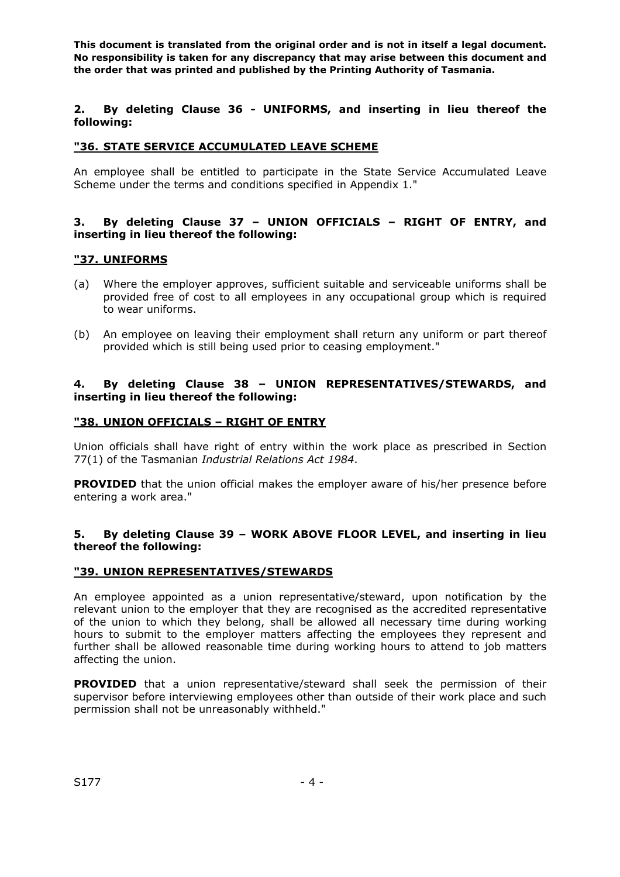**2. By deleting Clause 36 - UNIFORMS, and inserting in lieu thereof the following:** 

### **"36. STATE SERVICE ACCUMULATED LEAVE SCHEME**

An employee shall be entitled to participate in the State Service Accumulated Leave Scheme under the terms and conditions specified in Appendix 1."

#### **3. By deleting Clause 37 – UNION OFFICIALS – RIGHT OF ENTRY, and inserting in lieu thereof the following:**

#### **"37. UNIFORMS**

- (a) Where the employer approves, sufficient suitable and serviceable uniforms shall be provided free of cost to all employees in any occupational group which is required to wear uniforms.
- (b) An employee on leaving their employment shall return any uniform or part thereof provided which is still being used prior to ceasing employment."

### **4. By deleting Clause 38 – UNION REPRESENTATIVES/STEWARDS, and inserting in lieu thereof the following:**

#### **"38. UNION OFFICIALS – RIGHT OF ENTRY**

Union officials shall have right of entry within the work place as prescribed in Section 77(1) of the Tasmanian *Industrial Relations Act 1984*.

**PROVIDED** that the union official makes the employer aware of his/her presence before entering a work area."

#### **5. By deleting Clause 39 – WORK ABOVE FLOOR LEVEL, and inserting in lieu thereof the following:**

#### **"39. UNION REPRESENTATIVES/STEWARDS**

An employee appointed as a union representative/steward, upon notification by the relevant union to the employer that they are recognised as the accredited representative of the union to which they belong, shall be allowed all necessary time during working hours to submit to the employer matters affecting the employees they represent and further shall be allowed reasonable time during working hours to attend to job matters affecting the union.

**PROVIDED** that a union representative/steward shall seek the permission of their supervisor before interviewing employees other than outside of their work place and such permission shall not be unreasonably withheld."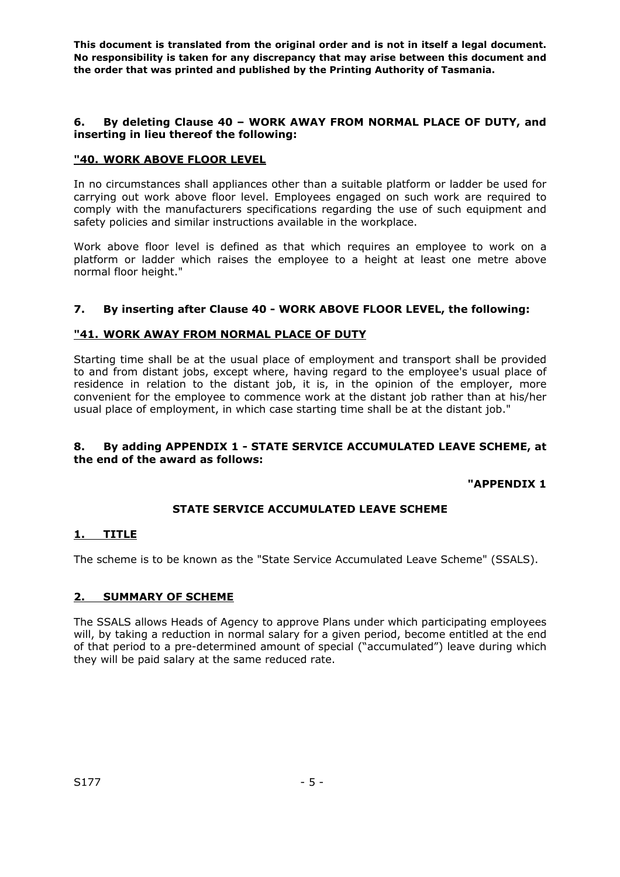### **6. By deleting Clause 40 – WORK AWAY FROM NORMAL PLACE OF DUTY, and inserting in lieu thereof the following:**

# **"40. WORK ABOVE FLOOR LEVEL**

In no circumstances shall appliances other than a suitable platform or ladder be used for carrying out work above floor level. Employees engaged on such work are required to comply with the manufacturers specifications regarding the use of such equipment and safety policies and similar instructions available in the workplace.

Work above floor level is defined as that which requires an employee to work on a platform or ladder which raises the employee to a height at least one metre above normal floor height."

# **7. By inserting after Clause 40 - WORK ABOVE FLOOR LEVEL, the following:**

# **"41. WORK AWAY FROM NORMAL PLACE OF DUTY**

Starting time shall be at the usual place of employment and transport shall be provided to and from distant jobs, except where, having regard to the employee's usual place of residence in relation to the distant job, it is, in the opinion of the employer, more convenient for the employee to commence work at the distant job rather than at his/her usual place of employment, in which case starting time shall be at the distant job."

### **8. By adding APPENDIX 1 - STATE SERVICE ACCUMULATED LEAVE SCHEME, at the end of the award as follows:**

**"APPENDIX 1** 

# **STATE SERVICE ACCUMULATED LEAVE SCHEME**

#### **1. TITLE**

The scheme is to be known as the "State Service Accumulated Leave Scheme" (SSALS).

# **2. SUMMARY OF SCHEME**

The SSALS allows Heads of Agency to approve Plans under which participating employees will, by taking a reduction in normal salary for a given period, become entitled at the end of that period to a pre-determined amount of special ("accumulated") leave during which they will be paid salary at the same reduced rate.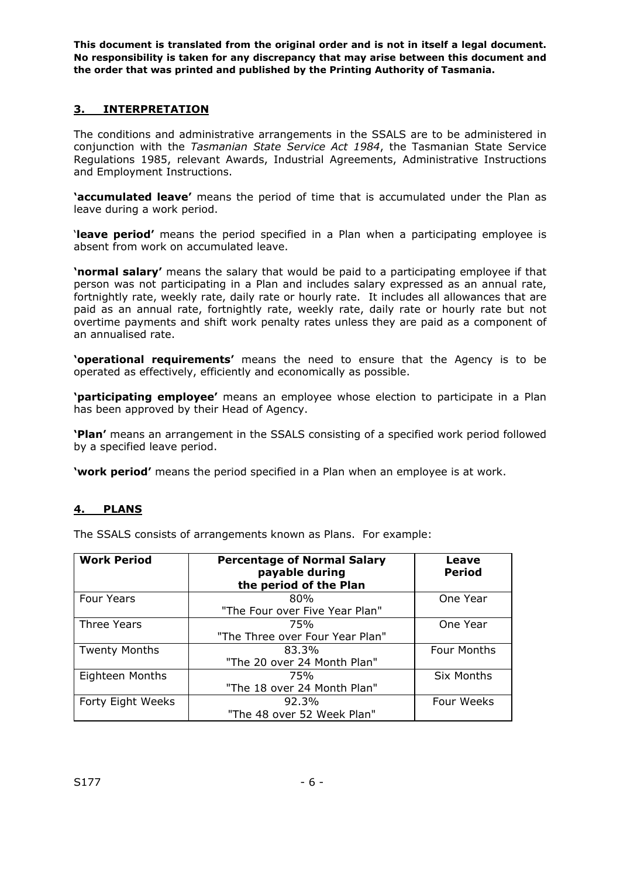# **3. INTERPRETATION**

The conditions and administrative arrangements in the SSALS are to be administered in conjunction with the *Tasmanian State Service Act 1984*, the Tasmanian State Service Regulations 1985, relevant Awards, Industrial Agreements, Administrative Instructions and Employment Instructions.

**'accumulated leave'** means the period of time that is accumulated under the Plan as leave during a work period.

'**leave period'** means the period specified in a Plan when a participating employee is absent from work on accumulated leave.

**'normal salary'** means the salary that would be paid to a participating employee if that person was not participating in a Plan and includes salary expressed as an annual rate, fortnightly rate, weekly rate, daily rate or hourly rate. It includes all allowances that are paid as an annual rate, fortnightly rate, weekly rate, daily rate or hourly rate but not overtime payments and shift work penalty rates unless they are paid as a component of an annualised rate.

**'operational requirements'** means the need to ensure that the Agency is to be operated as effectively, efficiently and economically as possible.

**'participating employee'** means an employee whose election to participate in a Plan has been approved by their Head of Agency.

**'Plan'** means an arrangement in the SSALS consisting of a specified work period followed by a specified leave period.

**'work period'** means the period specified in a Plan when an employee is at work.

# **4. PLANS**

The SSALS consists of arrangements known as Plans. For example:

| <b>Work Period</b>   | <b>Percentage of Normal Salary</b><br>payable during<br>the period of the Plan | Leave<br><b>Period</b> |
|----------------------|--------------------------------------------------------------------------------|------------------------|
| <b>Four Years</b>    | 80%                                                                            | One Year               |
|                      | "The Four over Five Year Plan"                                                 |                        |
| Three Years          | 75%                                                                            | One Year               |
|                      | "The Three over Four Year Plan"                                                |                        |
| <b>Twenty Months</b> | 83.3%                                                                          | Four Months            |
|                      | "The 20 over 24 Month Plan"                                                    |                        |
| Eighteen Months      | 75%                                                                            | Six Months             |
|                      | "The 18 over 24 Month Plan"                                                    |                        |
| Forty Eight Weeks    | 92.3%                                                                          | Four Weeks             |
|                      | "The 48 over 52 Week Plan"                                                     |                        |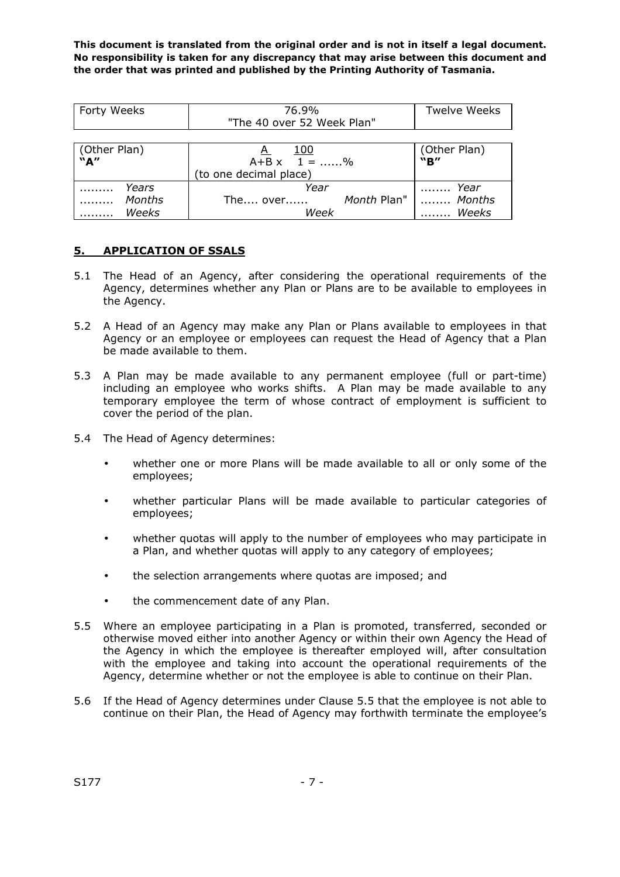| Forty Weeks              | 76.9%<br>"The 40 over 52 Week Plan"                                 | <b>Twelve Weeks</b>                    |
|--------------------------|---------------------------------------------------------------------|----------------------------------------|
| (Other Plan)<br>"A"      | 100<br>$\mathsf{A}$<br>$A+B \times 1 =$ %<br>(to one decimal place) | (Other Plan)<br>"B"                    |
| Years<br>Months<br>Weeks | Year<br>The over<br>Week                                            | Year<br>Month Plan"    Months<br>Weeks |

# **5. APPLICATION OF SSALS**

- 5.1 The Head of an Agency, after considering the operational requirements of the Agency, determines whether any Plan or Plans are to be available to employees in the Agency.
- 5.2 A Head of an Agency may make any Plan or Plans available to employees in that Agency or an employee or employees can request the Head of Agency that a Plan be made available to them.
- 5.3 A Plan may be made available to any permanent employee (full or part-time) including an employee who works shifts. A Plan may be made available to any temporary employee the term of whose contract of employment is sufficient to cover the period of the plan.
- 5.4 The Head of Agency determines:
	- whether one or more Plans will be made available to all or only some of the employees;
	- whether particular Plans will be made available to particular categories of employees;
	- whether quotas will apply to the number of employees who may participate in a Plan, and whether quotas will apply to any category of employees;
	- the selection arrangements where quotas are imposed; and
	- the commencement date of any Plan.
- 5.5 Where an employee participating in a Plan is promoted, transferred, seconded or otherwise moved either into another Agency or within their own Agency the Head of the Agency in which the employee is thereafter employed will, after consultation with the employee and taking into account the operational requirements of the Agency, determine whether or not the employee is able to continue on their Plan.
- 5.6 If the Head of Agency determines under Clause 5.5 that the employee is not able to continue on their Plan, the Head of Agency may forthwith terminate the employee's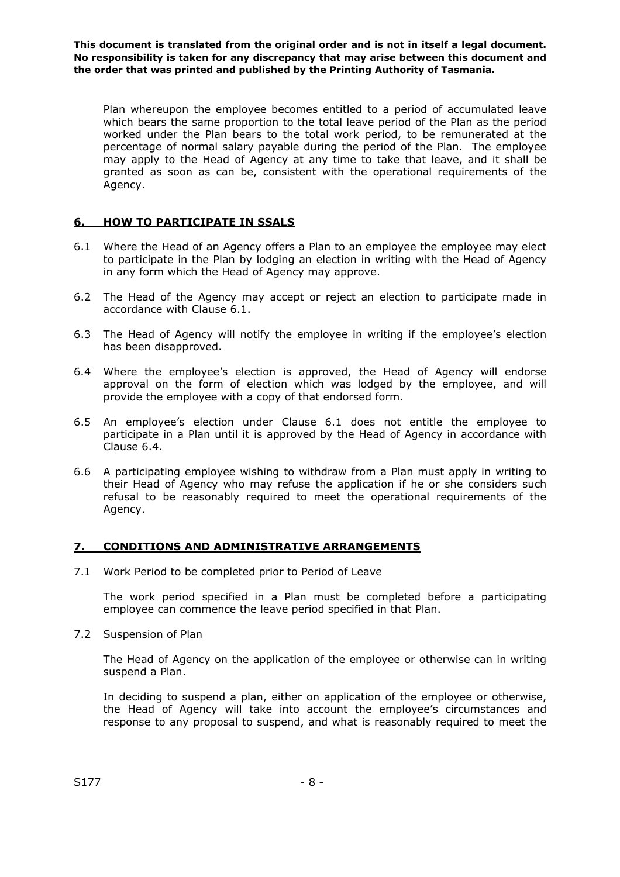Plan whereupon the employee becomes entitled to a period of accumulated leave which bears the same proportion to the total leave period of the Plan as the period worked under the Plan bears to the total work period, to be remunerated at the percentage of normal salary payable during the period of the Plan. The employee may apply to the Head of Agency at any time to take that leave, and it shall be granted as soon as can be, consistent with the operational requirements of the Agency.

# **6. HOW TO PARTICIPATE IN SSALS**

- 6.1 Where the Head of an Agency offers a Plan to an employee the employee may elect to participate in the Plan by lodging an election in writing with the Head of Agency in any form which the Head of Agency may approve.
- 6.2 The Head of the Agency may accept or reject an election to participate made in accordance with Clause 6.1.
- 6.3 The Head of Agency will notify the employee in writing if the employee's election has been disapproved.
- 6.4 Where the employee's election is approved, the Head of Agency will endorse approval on the form of election which was lodged by the employee, and will provide the employee with a copy of that endorsed form.
- 6.5 An employee's election under Clause 6.1 does not entitle the employee to participate in a Plan until it is approved by the Head of Agency in accordance with Clause 6.4.
- 6.6 A participating employee wishing to withdraw from a Plan must apply in writing to their Head of Agency who may refuse the application if he or she considers such refusal to be reasonably required to meet the operational requirements of the Agency.

# **7. CONDITIONS AND ADMINISTRATIVE ARRANGEMENTS**

7.1 Work Period to be completed prior to Period of Leave

The work period specified in a Plan must be completed before a participating employee can commence the leave period specified in that Plan.

7.2 Suspension of Plan

The Head of Agency on the application of the employee or otherwise can in writing suspend a Plan.

In deciding to suspend a plan, either on application of the employee or otherwise, the Head of Agency will take into account the employee's circumstances and response to any proposal to suspend, and what is reasonably required to meet the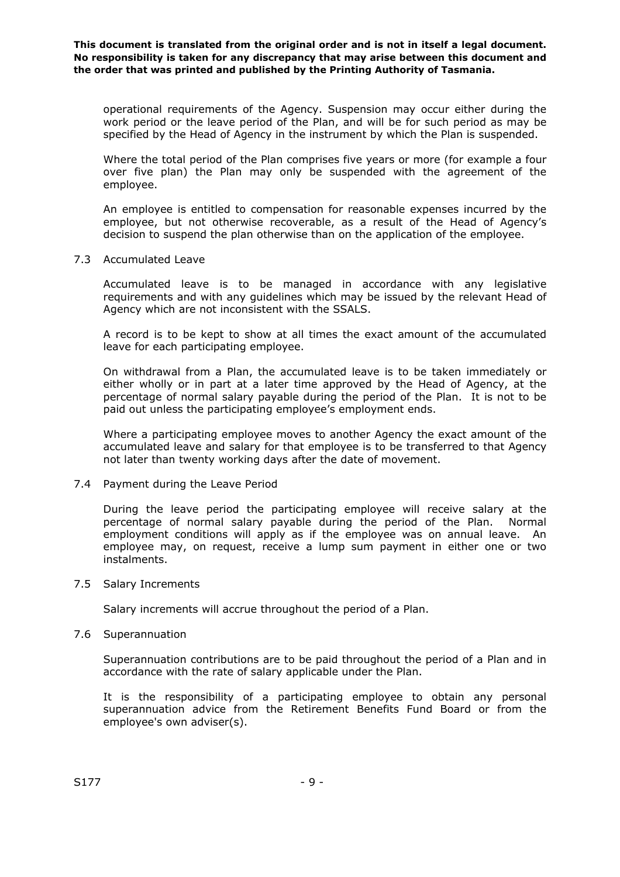operational requirements of the Agency. Suspension may occur either during the work period or the leave period of the Plan, and will be for such period as may be specified by the Head of Agency in the instrument by which the Plan is suspended.

Where the total period of the Plan comprises five years or more (for example a four over five plan) the Plan may only be suspended with the agreement of the employee.

An employee is entitled to compensation for reasonable expenses incurred by the employee, but not otherwise recoverable, as a result of the Head of Agency's decision to suspend the plan otherwise than on the application of the employee.

#### 7.3 Accumulated Leave

Accumulated leave is to be managed in accordance with any legislative requirements and with any guidelines which may be issued by the relevant Head of Agency which are not inconsistent with the SSALS.

A record is to be kept to show at all times the exact amount of the accumulated leave for each participating employee.

On withdrawal from a Plan, the accumulated leave is to be taken immediately or either wholly or in part at a later time approved by the Head of Agency, at the percentage of normal salary payable during the period of the Plan. It is not to be paid out unless the participating employee's employment ends.

Where a participating employee moves to another Agency the exact amount of the accumulated leave and salary for that employee is to be transferred to that Agency not later than twenty working days after the date of movement.

#### 7.4 Payment during the Leave Period

During the leave period the participating employee will receive salary at the percentage of normal salary payable during the period of the Plan. Normal employment conditions will apply as if the employee was on annual leave. An employee may, on request, receive a lump sum payment in either one or two instalments.

#### 7.5 Salary Increments

Salary increments will accrue throughout the period of a Plan.

#### 7.6 Superannuation

Superannuation contributions are to be paid throughout the period of a Plan and in accordance with the rate of salary applicable under the Plan.

It is the responsibility of a participating employee to obtain any personal superannuation advice from the Retirement Benefits Fund Board or from the employee's own adviser(s).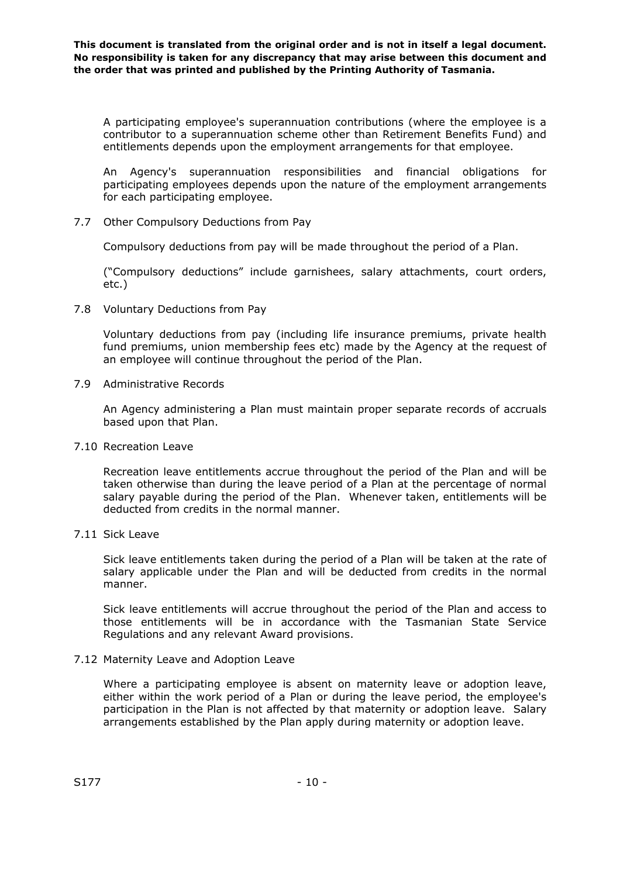A participating employee's superannuation contributions (where the employee is a contributor to a superannuation scheme other than Retirement Benefits Fund) and entitlements depends upon the employment arrangements for that employee.

An Agency's superannuation responsibilities and financial obligations for participating employees depends upon the nature of the employment arrangements for each participating employee.

7.7 Other Compulsory Deductions from Pay

Compulsory deductions from pay will be made throughout the period of a Plan.

("Compulsory deductions" include garnishees, salary attachments, court orders, etc.)

7.8 Voluntary Deductions from Pay

Voluntary deductions from pay (including life insurance premiums, private health fund premiums, union membership fees etc) made by the Agency at the request of an employee will continue throughout the period of the Plan.

7.9 Administrative Records

An Agency administering a Plan must maintain proper separate records of accruals based upon that Plan.

7.10 Recreation Leave

Recreation leave entitlements accrue throughout the period of the Plan and will be taken otherwise than during the leave period of a Plan at the percentage of normal salary payable during the period of the Plan. Whenever taken, entitlements will be deducted from credits in the normal manner.

7.11 Sick Leave

Sick leave entitlements taken during the period of a Plan will be taken at the rate of salary applicable under the Plan and will be deducted from credits in the normal manner.

Sick leave entitlements will accrue throughout the period of the Plan and access to those entitlements will be in accordance with the Tasmanian State Service Regulations and any relevant Award provisions.

#### 7.12 Maternity Leave and Adoption Leave

Where a participating employee is absent on maternity leave or adoption leave, either within the work period of a Plan or during the leave period, the employee's participation in the Plan is not affected by that maternity or adoption leave. Salary arrangements established by the Plan apply during maternity or adoption leave.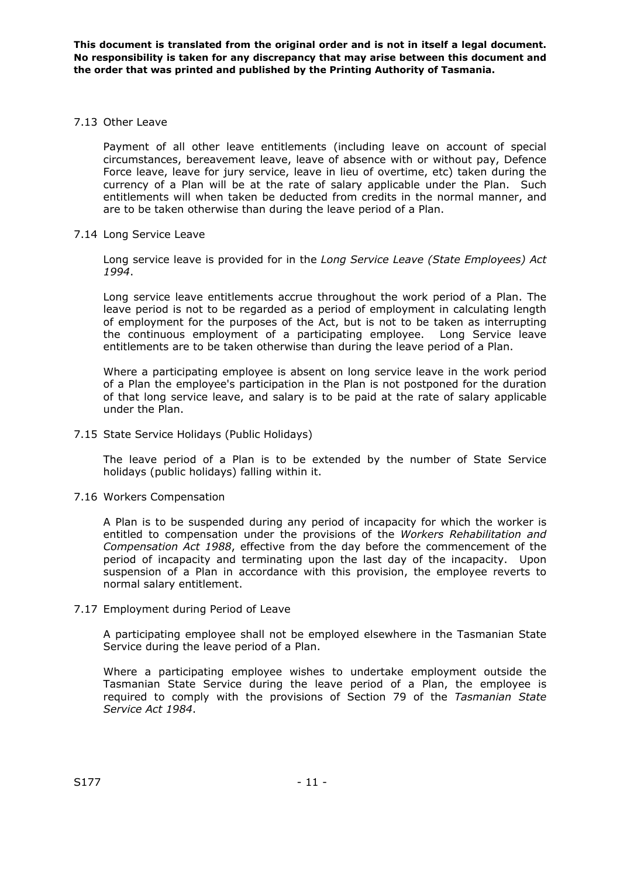### 7.13 Other Leave

Payment of all other leave entitlements (including leave on account of special circumstances, bereavement leave, leave of absence with or without pay, Defence Force leave, leave for jury service, leave in lieu of overtime, etc) taken during the currency of a Plan will be at the rate of salary applicable under the Plan. Such entitlements will when taken be deducted from credits in the normal manner, and are to be taken otherwise than during the leave period of a Plan.

### 7.14 Long Service Leave

Long service leave is provided for in the *Long Service Leave (State Employees) Act 1994*.

Long service leave entitlements accrue throughout the work period of a Plan. The leave period is not to be regarded as a period of employment in calculating length of employment for the purposes of the Act, but is not to be taken as interrupting the continuous employment of a participating employee. Long Service leave entitlements are to be taken otherwise than during the leave period of a Plan.

Where a participating employee is absent on long service leave in the work period of a Plan the employee's participation in the Plan is not postponed for the duration of that long service leave, and salary is to be paid at the rate of salary applicable under the Plan.

### 7.15 State Service Holidays (Public Holidays)

The leave period of a Plan is to be extended by the number of State Service holidays (public holidays) falling within it.

#### 7.16 Workers Compensation

A Plan is to be suspended during any period of incapacity for which the worker is entitled to compensation under the provisions of the *Workers Rehabilitation and Compensation Act 1988*, effective from the day before the commencement of the period of incapacity and terminating upon the last day of the incapacity. Upon suspension of a Plan in accordance with this provision, the employee reverts to normal salary entitlement.

# 7.17 Employment during Period of Leave

A participating employee shall not be employed elsewhere in the Tasmanian State Service during the leave period of a Plan.

Where a participating employee wishes to undertake employment outside the Tasmanian State Service during the leave period of a Plan, the employee is required to comply with the provisions of Section 79 of the *Tasmanian State Service Act 1984*.